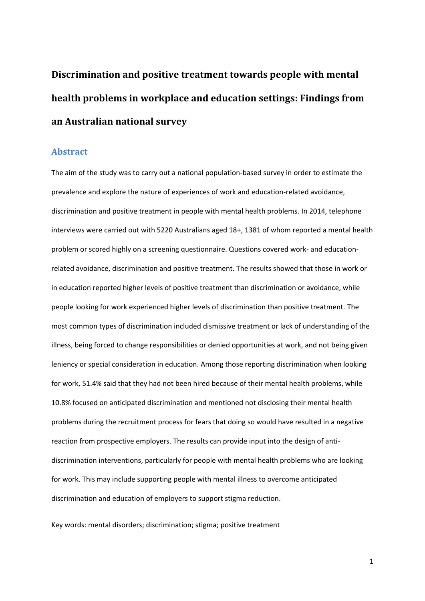**Discrimination and positive treatment towards people with mental health problems in workplace and education settings: Findings from an Australian national survey**

#### **Abstract**

The aim of the study was to carry out a national population-based survey in order to estimate the prevalence and explore the nature of experiences of work and education-related avoidance, discrimination and positive treatment in people with mental health problems. In 2014, telephone interviews were carried out with 5220 Australians aged 18+, 1381 of whom reported a mental health problem or scored highly on a screening questionnaire. Questions covered work- and educationrelated avoidance, discrimination and positive treatment. The results showed that those in work or in education reported higher levels of positive treatment than discrimination or avoidance, while people looking for work experienced higher levels of discrimination than positive treatment. The most common types of discrimination included dismissive treatment or lack of understanding of the illness, being forced to change responsibilities or denied opportunities at work, and not being given leniency or special consideration in education. Among those reporting discrimination when looking for work, 51.4% said that they had not been hired because of their mental health problems, while 10.8% focused on anticipated discrimination and mentioned not disclosing their mental health problems during the recruitment process for fears that doing so would have resulted in a negative reaction from prospective employers. The results can provide input into the design of antidiscrimination interventions, particularly for people with mental health problems who are looking for work. This may include supporting people with mental illness to overcome anticipated discrimination and education of employers to support stigma reduction.

Key words: mental disorders; discrimination; stigma; positive treatment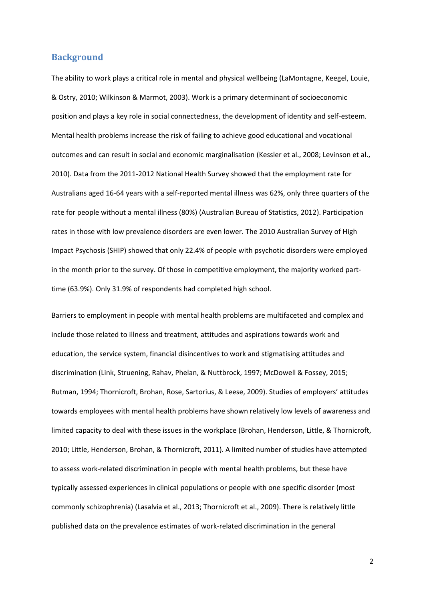#### **Background**

The ability to work plays a critical role in mental and physical wellbeing [\(LaMontagne, Keegel, Louie,](#page-21-0)  [& Ostry, 2010;](#page-21-0) [Wilkinson & Marmot, 2003\)](#page-23-0). Work is a primary determinant of socioeconomic position and plays a key role in social connectedness, the development of identity and self-esteem. Mental health problems increase the risk of failing to achieve good educational and vocational outcomes and can result in social and economic marginalisation [\(Kessler et al., 2008;](#page-21-1) [Levinson et al.,](#page-21-2)  [2010\)](#page-21-2). Data from the 2011-2012 National Health Survey showed that the employment rate for Australians aged 16-64 years with a self-reported mental illness was 62%, only three quarters of the rate for people without a mental illness (80%) [\(Australian Bureau of Statistics, 2012\)](#page-19-0). Participation rates in those with low prevalence disorders are even lower. The 2010 Australian Survey of High Impact Psychosis (SHIP) showed that only 22.4% of people with psychotic disorders were employed in the month prior to the survey. Of those in competitive employment, the majority worked parttime (63.9%). Only 31.9% of respondents had completed high school.

Barriers to employment in people with mental health problems are multifaceted and complex and include those related to illness and treatment, attitudes and aspirations towards work and education, the service system, financial disincentives to work and stigmatising attitudes and discrimination [\(Link, Struening, Rahav, Phelan, & Nuttbrock, 1997;](#page-21-3) [McDowell & Fossey, 2015;](#page-22-0) [Rutman, 1994;](#page-22-1) [Thornicroft, Brohan, Rose, Sartorius, & Leese, 2009\)](#page-22-2). Studies of employers' attitudes towards employees with mental health problems have shown relatively low levels of awareness and limited capacity to deal with these issues in the workplace [\(Brohan, Henderson, Little, & Thornicroft,](#page-19-1)  [2010;](#page-19-1) [Little, Henderson, Brohan, & Thornicroft, 2011\)](#page-22-3). A limited number of studies have attempted to assess work-related discrimination in people with mental health problems, but these have typically assessed experiences in clinical populations or people with one specific disorder (most commonly schizophrenia) [\(Lasalvia et al., 2013;](#page-21-4) [Thornicroft et al., 2009\)](#page-22-2). There is relatively little published data on the prevalence estimates of work-related discrimination in the general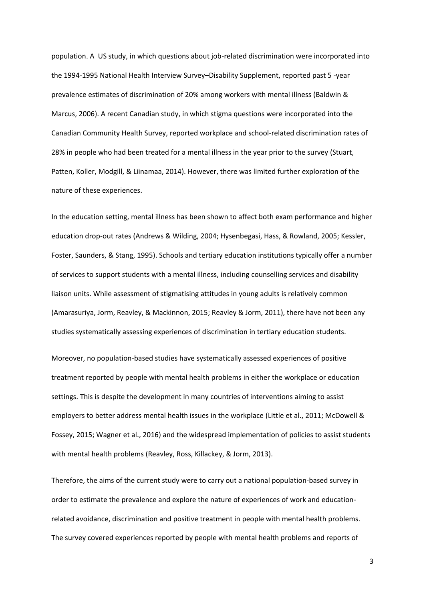population. A US study, in which questions about job-related discrimination were incorporated into the 1994-1995 National Health Interview Survey–Disability Supplement, reported past 5 -year prevalence estimates of discrimination of 20% among workers with mental illness [\(Baldwin &](#page-19-2)  [Marcus, 2006\)](#page-19-2). A recent Canadian study, in which stigma questions were incorporated into the Canadian Community Health Survey, reported workplace and school-related discrimination rates of 28% in people who had been treated for a mental illness in the year prior to the survey [\(Stuart,](#page-22-4)  [Patten, Koller, Modgill, & Liinamaa, 2014\)](#page-22-4). However, there was limited further exploration of the nature of these experiences.

In the education setting, mental illness has been shown to affect both exam performance and higher education drop-out rates [\(Andrews & Wilding, 2004;](#page-19-3) [Hysenbegasi, Hass, & Rowland, 2005;](#page-20-0) [Kessler,](#page-20-1)  [Foster, Saunders, & Stang, 1995\)](#page-20-1). Schools and tertiary education institutions typically offer a number of services to support students with a mental illness, including counselling services and disability liaison units. While assessment of stigmatising attitudes in young adults is relatively common [\(Amarasuriya, Jorm, Reavley, & Mackinnon, 2015;](#page-19-4) [Reavley & Jorm, 2011\)](#page-22-5), there have not been any studies systematically assessing experiences of discrimination in tertiary education students.

Moreover, no population-based studies have systematically assessed experiences of positive treatment reported by people with mental health problems in either the workplace or education settings. This is despite the development in many countries of interventions aiming to assist employers to better address mental health issues in the workplace [\(Little et al., 2011;](#page-22-3) [McDowell &](#page-22-0)  [Fossey, 2015;](#page-22-0) [Wagner et al., 2016\)](#page-23-1) and the widespread implementation of policies to assist students with mental health problems [\(Reavley, Ross, Killackey, & Jorm, 2013\)](#page-22-6).

Therefore, the aims of the current study were to carry out a national population-based survey in order to estimate the prevalence and explore the nature of experiences of work and educationrelated avoidance, discrimination and positive treatment in people with mental health problems. The survey covered experiences reported by people with mental health problems and reports of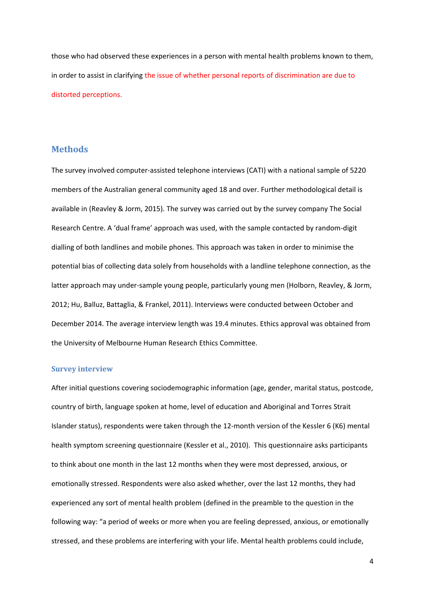those who had observed these experiences in a person with mental health problems known to them, in order to assist in clarifying the issue of whether personal reports of discrimination are due to distorted perceptions.

#### **Methods**

The survey involved computer-assisted telephone interviews (CATI) with a national sample of 5220 members of the Australian general community aged 18 and over. Further methodological detail is available in [\(Reavley & Jorm, 2015\)](#page-22-7). The survey was carried out by the survey company The Social Research Centre. A 'dual frame' approach was used, with the sample contacted by random-digit dialling of both landlines and mobile phones. This approach was taken in order to minimise the potential bias of collecting data solely from households with a landline telephone connection, as the latter approach may under-sample young people, particularly young men [\(Holborn, Reavley, & Jorm,](#page-20-2)  [2012;](#page-20-2) [Hu, Balluz, Battaglia, & Frankel, 2011\)](#page-20-3). Interviews were conducted between October and December 2014. The average interview length was 19.4 minutes. Ethics approval was obtained from the University of Melbourne Human Research Ethics Committee.

#### **Survey interview**

After initial questions covering sociodemographic information (age, gender, marital status, postcode, country of birth, language spoken at home, level of education and Aboriginal and Torres Strait Islander status), respondents were taken through the 12-month version of the Kessler 6 (K6) mental health symptom screening questionnaire [\(Kessler et al., 2010\)](#page-20-4). This questionnaire asks participants to think about one month in the last 12 months when they were most depressed, anxious, or emotionally stressed. Respondents were also asked whether, over the last 12 months, they had experienced any sort of mental health problem (defined in the preamble to the question in the following way: "a period of weeks or more when you are feeling depressed, anxious, or emotionally stressed, and these problems are interfering with your life. Mental health problems could include,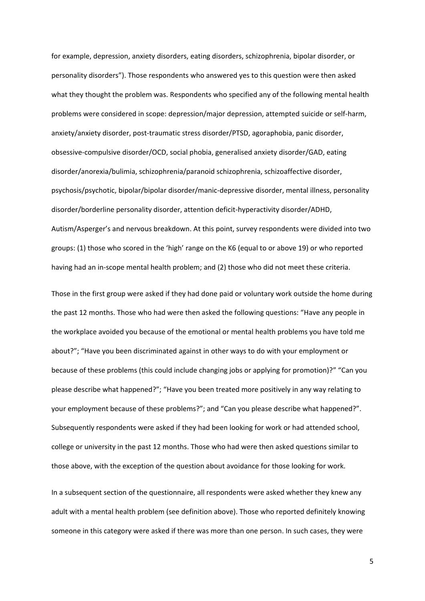for example, depression, anxiety disorders, eating disorders, schizophrenia, bipolar disorder, or personality disorders"). Those respondents who answered yes to this question were then asked what they thought the problem was. Respondents who specified any of the following mental health problems were considered in scope: depression/major depression, attempted suicide or self-harm, anxiety/anxiety disorder, post-traumatic stress disorder/PTSD, agoraphobia, panic disorder, obsessive-compulsive disorder/OCD, social phobia, generalised anxiety disorder/GAD, eating disorder/anorexia/bulimia, schizophrenia/paranoid schizophrenia, schizoaffective disorder, psychosis/psychotic, bipolar/bipolar disorder/manic-depressive disorder, mental illness, personality disorder/borderline personality disorder, attention deficit-hyperactivity disorder/ADHD, Autism/Asperger's and nervous breakdown. At this point, survey respondents were divided into two groups: (1) those who scored in the 'high' range on the K6 (equal to or above 19) or who reported having had an in-scope mental health problem; and (2) those who did not meet these criteria.

Those in the first group were asked if they had done paid or voluntary work outside the home during the past 12 months. Those who had were then asked the following questions: "Have any people in the workplace avoided you because of the emotional or mental health problems you have told me about?"; "Have you been discriminated against in other ways to do with your employment or because of these problems (this could include changing jobs or applying for promotion)?" "Can you please describe what happened?"; "Have you been treated more positively in any way relating to your employment because of these problems?"; and "Can you please describe what happened?". Subsequently respondents were asked if they had been looking for work or had attended school, college or university in the past 12 months. Those who had were then asked questions similar to those above, with the exception of the question about avoidance for those looking for work.

In a subsequent section of the questionnaire, all respondents were asked whether they knew any adult with a mental health problem (see definition above). Those who reported definitely knowing someone in this category were asked if there was more than one person. In such cases, they were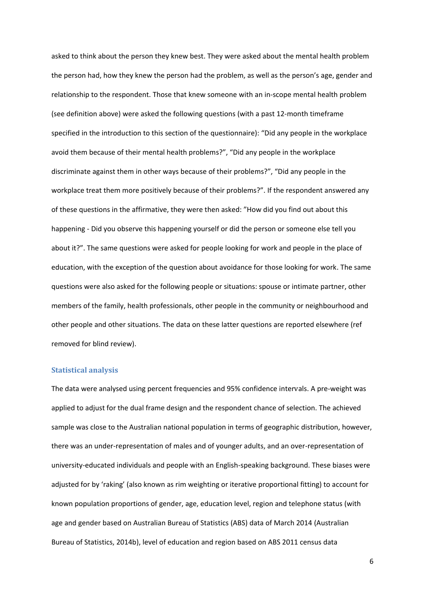asked to think about the person they knew best. They were asked about the mental health problem the person had, how they knew the person had the problem, as well as the person's age, gender and relationship to the respondent. Those that knew someone with an in-scope mental health problem (see definition above) were asked the following questions (with a past 12-month timeframe specified in the introduction to this section of the questionnaire): "Did any people in the workplace avoid them because of their mental health problems?", "Did any people in the workplace discriminate against them in other ways because of their problems?", "Did any people in the workplace treat them more positively because of their problems?". If the respondent answered any of these questions in the affirmative, they were then asked: "How did you find out about this happening - Did you observe this happening yourself or did the person or someone else tell you about it?". The same questions were asked for people looking for work and people in the place of education, with the exception of the question about avoidance for those looking for work. The same questions were also asked for the following people or situations: spouse or intimate partner, other members of the family, health professionals, other people in the community or neighbourhood and other people and other situations. The data on these latter questions are reported elsewhere (ref removed for blind review).

#### **Statistical analysis**

The data were analysed using percent frequencies and 95% confidence intervals. A pre-weight was applied to adjust for the dual frame design and the respondent chance of selection. The achieved sample was close to the Australian national population in terms of geographic distribution, however, there was an under-representation of males and of younger adults, and an over-representation of university-educated individuals and people with an English-speaking background. These biases were adjusted for by 'raking' (also known as rim weighting or iterative proportional fitting) to account for known population proportions of gender, age, education level, region and telephone status (with age and gender based on Australian Bureau of Statistics (ABS) data of March 2014 [\(Australian](#page-19-5)  [Bureau of Statistics, 2014b\)](#page-19-5), level of education and region based on ABS 2011 census data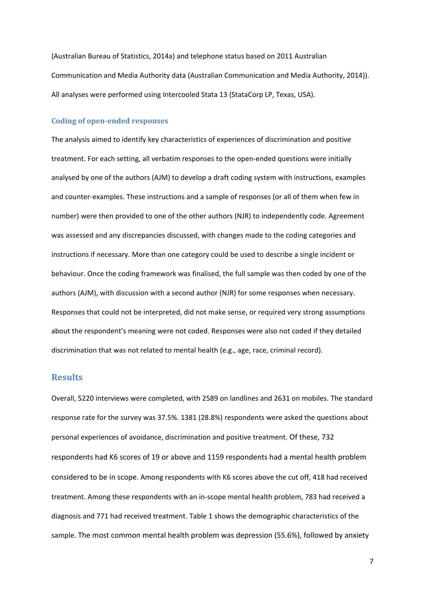[\(Australian Bureau of Statistics, 2014a\)](#page-19-6) and telephone status based on 2011 Australian Communication and Media Authority data [\(Australian Communication and Media Authority, 2014\)](#page-19-7)). All analyses were performed using Intercooled Stata 13 (StataCorp LP, Texas, USA).

#### **Coding of open-ended responses**

The analysis aimed to identify key characteristics of experiences of discrimination and positive treatment. For each setting, all verbatim responses to the open-ended questions were initially analysed by one of the authors (AJM) to develop a draft coding system with instructions, examples and counter-examples. These instructions and a sample of responses (or all of them when few in number) were then provided to one of the other authors (NJR) to independently code. Agreement was assessed and any discrepancies discussed, with changes made to the coding categories and instructions if necessary. More than one category could be used to describe a single incident or behaviour. Once the coding framework was finalised, the full sample was then coded by one of the authors (AJM), with discussion with a second author (NJR) for some responses when necessary. Responses that could not be interpreted, did not make sense, or required very strong assumptions about the respondent's meaning were not coded. Responses were also not coded if they detailed discrimination that was not related to mental health (e.g., age, race, criminal record).

#### **Results**

Overall, 5220 interviews were completed, with 2589 on landlines and 2631 on mobiles. The standard response rate for the survey was 37.5%. 1381 (28.8%) respondents were asked the questions about personal experiences of avoidance, discrimination and positive treatment. Of these, 732 respondents had K6 scores of 19 or above and 1159 respondents had a mental health problem considered to be in scope. Among respondents with K6 scores above the cut off, 418 had received treatment. Among these respondents with an in-scope mental health problem, 783 had received a diagnosis and 771 had received treatment. Table 1 shows the demographic characteristics of the sample. The most common mental health problem was depression (55.6%), followed by anxiety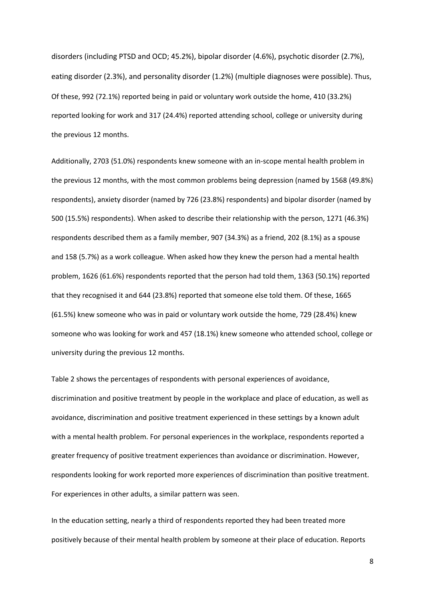disorders (including PTSD and OCD; 45.2%), bipolar disorder (4.6%), psychotic disorder (2.7%), eating disorder (2.3%), and personality disorder (1.2%) (multiple diagnoses were possible). Thus, Of these, 992 (72.1%) reported being in paid or voluntary work outside the home, 410 (33.2%) reported looking for work and 317 (24.4%) reported attending school, college or university during the previous 12 months.

Additionally, 2703 (51.0%) respondents knew someone with an in-scope mental health problem in the previous 12 months, with the most common problems being depression (named by 1568 (49.8%) respondents), anxiety disorder (named by 726 (23.8%) respondents) and bipolar disorder (named by 500 (15.5%) respondents). When asked to describe their relationship with the person, 1271 (46.3%) respondents described them as a family member, 907 (34.3%) as a friend, 202 (8.1%) as a spouse and 158 (5.7%) as a work colleague. When asked how they knew the person had a mental health problem, 1626 (61.6%) respondents reported that the person had told them, 1363 (50.1%) reported that they recognised it and 644 (23.8%) reported that someone else told them. Of these, 1665 (61.5%) knew someone who was in paid or voluntary work outside the home, 729 (28.4%) knew someone who was looking for work and 457 (18.1%) knew someone who attended school, college or university during the previous 12 months.

Table 2 shows the percentages of respondents with personal experiences of avoidance, discrimination and positive treatment by people in the workplace and place of education, as well as avoidance, discrimination and positive treatment experienced in these settings by a known adult with a mental health problem. For personal experiences in the workplace, respondents reported a greater frequency of positive treatment experiences than avoidance or discrimination. However, respondents looking for work reported more experiences of discrimination than positive treatment. For experiences in other adults, a similar pattern was seen.

In the education setting, nearly a third of respondents reported they had been treated more positively because of their mental health problem by someone at their place of education. Reports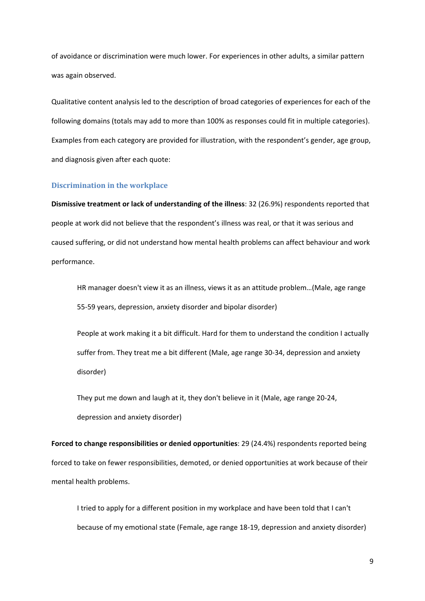of avoidance or discrimination were much lower. For experiences in other adults, a similar pattern was again observed.

Qualitative content analysis led to the description of broad categories of experiences for each of the following domains (totals may add to more than 100% as responses could fit in multiple categories). Examples from each category are provided for illustration, with the respondent's gender, age group, and diagnosis given after each quote:

#### **Discrimination in the workplace**

**Dismissive treatment or lack of understanding of the illness**: 32 (26.9%) respondents reported that people at work did not believe that the respondent's illness was real, or that it was serious and caused suffering, or did not understand how mental health problems can affect behaviour and work performance.

HR manager doesn't view it as an illness, views it as an attitude problem…(Male, age range 55-59 years, depression, anxiety disorder and bipolar disorder)

People at work making it a bit difficult. Hard for them to understand the condition I actually suffer from. They treat me a bit different (Male, age range 30-34, depression and anxiety disorder)

They put me down and laugh at it, they don't believe in it (Male, age range 20-24, depression and anxiety disorder)

**Forced to change responsibilities or denied opportunities**: 29 (24.4%) respondents reported being forced to take on fewer responsibilities, demoted, or denied opportunities at work because of their mental health problems.

I tried to apply for a different position in my workplace and have been told that I can't because of my emotional state (Female, age range 18-19, depression and anxiety disorder)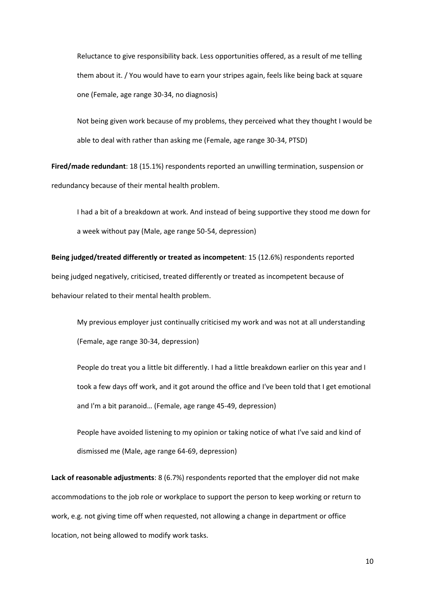Reluctance to give responsibility back. Less opportunities offered, as a result of me telling them about it. / You would have to earn your stripes again, feels like being back at square one (Female, age range 30-34, no diagnosis)

Not being given work because of my problems, they perceived what they thought I would be able to deal with rather than asking me (Female, age range 30-34, PTSD)

**Fired/made redundant**: 18 (15.1%) respondents reported an unwilling termination, suspension or redundancy because of their mental health problem.

I had a bit of a breakdown at work. And instead of being supportive they stood me down for a week without pay (Male, age range 50-54, depression)

**Being judged/treated differently or treated as incompetent**: 15 (12.6%) respondents reported being judged negatively, criticised, treated differently or treated as incompetent because of behaviour related to their mental health problem.

My previous employer just continually criticised my work and was not at all understanding (Female, age range 30-34, depression)

People do treat you a little bit differently. I had a little breakdown earlier on this year and I took a few days off work, and it got around the office and I've been told that I get emotional and I'm a bit paranoid… (Female, age range 45-49, depression)

People have avoided listening to my opinion or taking notice of what I've said and kind of dismissed me (Male, age range 64-69, depression)

**Lack of reasonable adjustments**: 8 (6.7%) respondents reported that the employer did not make accommodations to the job role or workplace to support the person to keep working or return to work, e.g. not giving time off when requested, not allowing a change in department or office location, not being allowed to modify work tasks.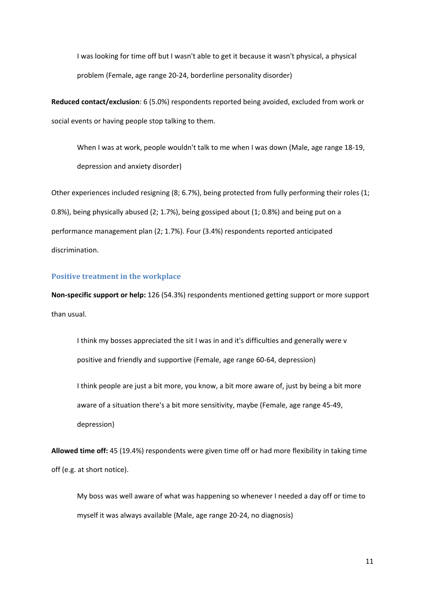I was looking for time off but I wasn't able to get it because it wasn't physical, a physical problem (Female, age range 20-24, borderline personality disorder)

**Reduced contact/exclusion**: 6 (5.0%) respondents reported being avoided, excluded from work or social events or having people stop talking to them.

When I was at work, people wouldn't talk to me when I was down (Male, age range 18-19, depression and anxiety disorder)

Other experiences included resigning (8; 6.7%), being protected from fully performing their roles (1; 0.8%), being physically abused (2; 1.7%), being gossiped about (1; 0.8%) and being put on a performance management plan (2; 1.7%). Four (3.4%) respondents reported anticipated discrimination.

#### **Positive treatment in the workplace**

**Non-specific support or help:** 126 (54.3%) respondents mentioned getting support or more support than usual.

I think my bosses appreciated the sit I was in and it's difficulties and generally were v positive and friendly and supportive (Female, age range 60-64, depression)

I think people are just a bit more, you know, a bit more aware of, just by being a bit more aware of a situation there's a bit more sensitivity, maybe (Female, age range 45-49, depression)

**Allowed time off:** 45 (19.4%) respondents were given time off or had more flexibility in taking time off (e.g. at short notice).

My boss was well aware of what was happening so whenever I needed a day off or time to myself it was always available (Male, age range 20-24, no diagnosis)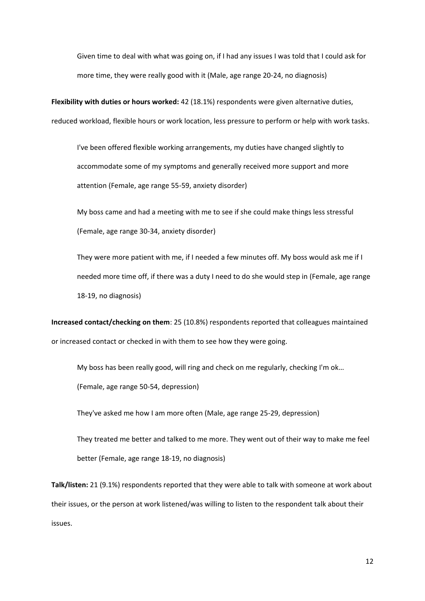Given time to deal with what was going on, if I had any issues I was told that I could ask for more time, they were really good with it (Male, age range 20-24, no diagnosis)

**Flexibility with duties or hours worked:** 42 (18.1%) respondents were given alternative duties, reduced workload, flexible hours or work location, less pressure to perform or help with work tasks.

I've been offered flexible working arrangements, my duties have changed slightly to accommodate some of my symptoms and generally received more support and more attention (Female, age range 55-59, anxiety disorder)

My boss came and had a meeting with me to see if she could make things less stressful (Female, age range 30-34, anxiety disorder)

They were more patient with me, if I needed a few minutes off. My boss would ask me if I needed more time off, if there was a duty I need to do she would step in (Female, age range 18-19, no diagnosis)

**Increased contact/checking on them**: 25 (10.8%) respondents reported that colleagues maintained or increased contact or checked in with them to see how they were going.

My boss has been really good, will ring and check on me regularly, checking I'm ok…

(Female, age range 50-54, depression)

They've asked me how I am more often (Male, age range 25-29, depression)

They treated me better and talked to me more. They went out of their way to make me feel better (Female, age range 18-19, no diagnosis)

**Talk/listen:** 21 (9.1%) respondents reported that they were able to talk with someone at work about their issues, or the person at work listened/was willing to listen to the respondent talk about their issues.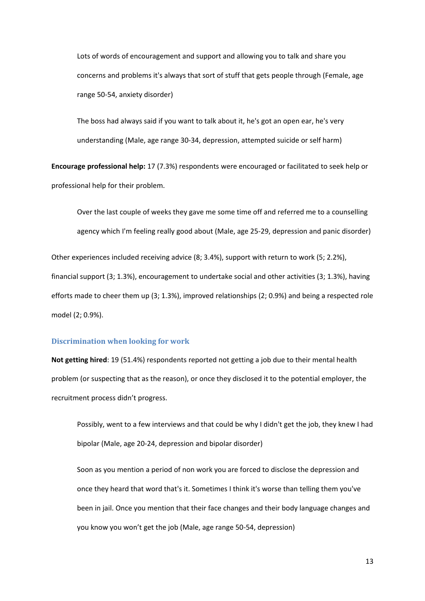Lots of words of encouragement and support and allowing you to talk and share you concerns and problems it's always that sort of stuff that gets people through (Female, age range 50-54, anxiety disorder)

The boss had always said if you want to talk about it, he's got an open ear, he's very understanding (Male, age range 30-34, depression, attempted suicide or self harm)

**Encourage professional help:** 17 (7.3%) respondents were encouraged or facilitated to seek help or professional help for their problem.

Over the last couple of weeks they gave me some time off and referred me to a counselling agency which I'm feeling really good about (Male, age 25-29, depression and panic disorder)

Other experiences included receiving advice (8; 3.4%), support with return to work (5; 2.2%), financial support (3; 1.3%), encouragement to undertake social and other activities (3; 1.3%), having efforts made to cheer them up (3; 1.3%), improved relationships (2; 0.9%) and being a respected role model (2; 0.9%).

#### **Discrimination when looking for work**

**Not getting hired**: 19 (51.4%) respondents reported not getting a job due to their mental health problem (or suspecting that as the reason), or once they disclosed it to the potential employer, the recruitment process didn't progress.

Possibly, went to a few interviews and that could be why I didn't get the job, they knew I had bipolar (Male, age 20-24, depression and bipolar disorder)

Soon as you mention a period of non work you are forced to disclose the depression and once they heard that word that's it. Sometimes I think it's worse than telling them you've been in jail. Once you mention that their face changes and their body language changes and you know you won't get the job (Male, age range 50-54, depression)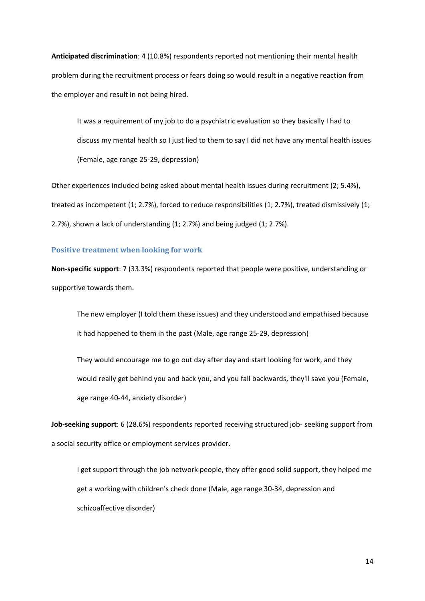**Anticipated discrimination**: 4 (10.8%) respondents reported not mentioning their mental health problem during the recruitment process or fears doing so would result in a negative reaction from the employer and result in not being hired.

It was a requirement of my job to do a psychiatric evaluation so they basically I had to discuss my mental health so I just lied to them to say I did not have any mental health issues (Female, age range 25-29, depression)

Other experiences included being asked about mental health issues during recruitment (2; 5.4%), treated as incompetent (1; 2.7%), forced to reduce responsibilities (1; 2.7%), treated dismissively (1; 2.7%), shown a lack of understanding (1; 2.7%) and being judged (1; 2.7%).

#### **Positive treatment when looking for work**

**Non-specific support**: 7 (33.3%) respondents reported that people were positive, understanding or supportive towards them.

The new employer (I told them these issues) and they understood and empathised because it had happened to them in the past (Male, age range 25-29, depression)

They would encourage me to go out day after day and start looking for work, and they would really get behind you and back you, and you fall backwards, they'll save you (Female, age range 40-44, anxiety disorder)

**Job-seeking support**: 6 (28.6%) respondents reported receiving structured job- seeking support from a social security office or employment services provider.

I get support through the job network people, they offer good solid support, they helped me get a working with children's check done (Male, age range 30-34, depression and schizoaffective disorder)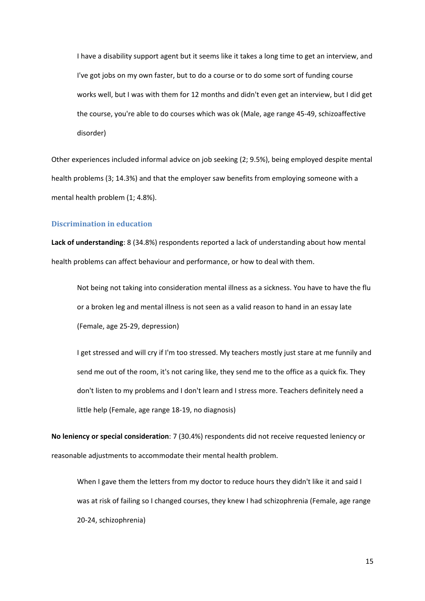I have a disability support agent but it seems like it takes a long time to get an interview, and I've got jobs on my own faster, but to do a course or to do some sort of funding course works well, but I was with them for 12 months and didn't even get an interview, but I did get the course, you're able to do courses which was ok (Male, age range 45-49, schizoaffective disorder)

Other experiences included informal advice on job seeking (2; 9.5%), being employed despite mental health problems (3; 14.3%) and that the employer saw benefits from employing someone with a mental health problem (1; 4.8%).

#### **Discrimination in education**

**Lack of understanding**: 8 (34.8%) respondents reported a lack of understanding about how mental health problems can affect behaviour and performance, or how to deal with them.

Not being not taking into consideration mental illness as a sickness. You have to have the flu or a broken leg and mental illness is not seen as a valid reason to hand in an essay late (Female, age 25-29, depression)

I get stressed and will cry if I'm too stressed. My teachers mostly just stare at me funnily and send me out of the room, it's not caring like, they send me to the office as a quick fix. They don't listen to my problems and I don't learn and I stress more. Teachers definitely need a little help (Female, age range 18-19, no diagnosis)

**No leniency or special consideration**: 7 (30.4%) respondents did not receive requested leniency or reasonable adjustments to accommodate their mental health problem.

When I gave them the letters from my doctor to reduce hours they didn't like it and said I was at risk of failing so I changed courses, they knew I had schizophrenia (Female, age range 20-24, schizophrenia)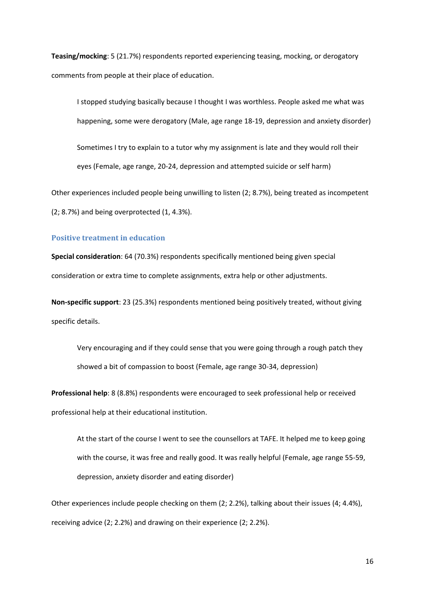**Teasing/mocking**: 5 (21.7%) respondents reported experiencing teasing, mocking, or derogatory comments from people at their place of education.

I stopped studying basically because I thought I was worthless. People asked me what was happening, some were derogatory (Male, age range 18-19, depression and anxiety disorder) Sometimes I try to explain to a tutor why my assignment is late and they would roll their eyes (Female, age range, 20-24, depression and attempted suicide or self harm)

Other experiences included people being unwilling to listen (2; 8.7%), being treated as incompetent (2; 8.7%) and being overprotected (1, 4.3%).

#### **Positive treatment in education**

**Special consideration**: 64 (70.3%) respondents specifically mentioned being given special consideration or extra time to complete assignments, extra help or other adjustments.

**Non-specific support**: 23 (25.3%) respondents mentioned being positively treated, without giving specific details.

Very encouraging and if they could sense that you were going through a rough patch they showed a bit of compassion to boost (Female, age range 30-34, depression)

**Professional help**: 8 (8.8%) respondents were encouraged to seek professional help or received professional help at their educational institution.

At the start of the course I went to see the counsellors at TAFE. It helped me to keep going with the course, it was free and really good. It was really helpful (Female, age range 55-59, depression, anxiety disorder and eating disorder)

Other experiences include people checking on them (2; 2.2%), talking about their issues (4; 4.4%), receiving advice (2; 2.2%) and drawing on their experience (2; 2.2%).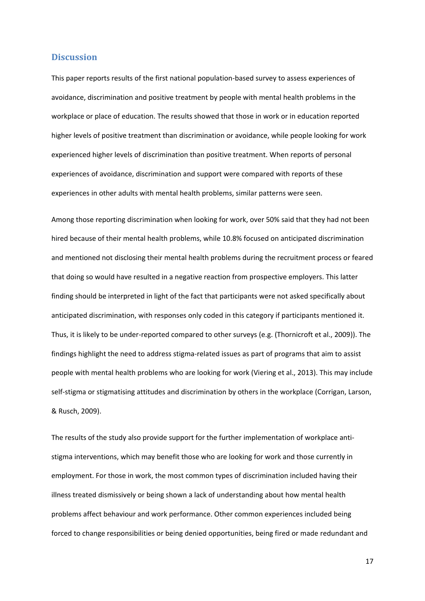#### **Discussion**

This paper reports results of the first national population-based survey to assess experiences of avoidance, discrimination and positive treatment by people with mental health problems in the workplace or place of education. The results showed that those in work or in education reported higher levels of positive treatment than discrimination or avoidance, while people looking for work experienced higher levels of discrimination than positive treatment. When reports of personal experiences of avoidance, discrimination and support were compared with reports of these experiences in other adults with mental health problems, similar patterns were seen.

Among those reporting discrimination when looking for work, over 50% said that they had not been hired because of their mental health problems, while 10.8% focused on anticipated discrimination and mentioned not disclosing their mental health problems during the recruitment process or feared that doing so would have resulted in a negative reaction from prospective employers. This latter finding should be interpreted in light of the fact that participants were not asked specifically about anticipated discrimination, with responses only coded in this category if participants mentioned it. Thus, it is likely to be under-reported compared to other surveys (e.g. [\(Thornicroft et al., 2009\)](#page-22-2)). The findings highlight the need to address stigma-related issues as part of programs that aim to assist people with mental health problems who are looking for work [\(Viering et al., 2013\)](#page-23-2). This may include self-stigma or stigmatising attitudes and discrimination by others in the workplace [\(Corrigan, Larson,](#page-19-8)  [& Rusch, 2009\)](#page-19-8).

The results of the study also provide support for the further implementation of workplace antistigma interventions, which may benefit those who are looking for work and those currently in employment. For those in work, the most common types of discrimination included having their illness treated dismissively or being shown a lack of understanding about how mental health problems affect behaviour and work performance. Other common experiences included being forced to change responsibilities or being denied opportunities, being fired or made redundant and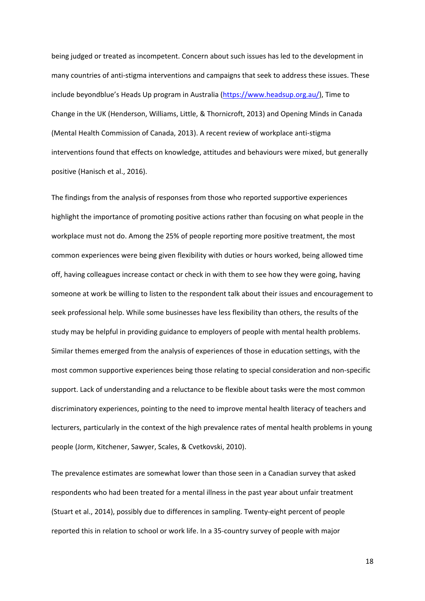being judged or treated as incompetent. Concern about such issues has led to the development in many countries of anti-stigma interventions and campaigns that seek to address these issues. These include beyondblue's Heads Up program in Australia [\(https://www.headsup.org.au/\)](https://www.headsup.org.au/), Time to Change in the UK [\(Henderson, Williams, Little, & Thornicroft, 2013\)](#page-20-5) and Opening Minds in Canada [\(Mental Health Commission of Canada, 2013\)](#page-22-8). A recent review of workplace anti-stigma interventions found that effects on knowledge, attitudes and behaviours were mixed, but generally positive [\(Hanisch et al., 2016\)](#page-20-6).

The findings from the analysis of responses from those who reported supportive experiences highlight the importance of promoting positive actions rather than focusing on what people in the workplace must not do. Among the 25% of people reporting more positive treatment, the most common experiences were being given flexibility with duties or hours worked, being allowed time off, having colleagues increase contact or check in with them to see how they were going, having someone at work be willing to listen to the respondent talk about their issues and encouragement to seek professional help. While some businesses have less flexibility than others, the results of the study may be helpful in providing guidance to employers of people with mental health problems. Similar themes emerged from the analysis of experiences of those in education settings, with the most common supportive experiences being those relating to special consideration and non-specific support. Lack of understanding and a reluctance to be flexible about tasks were the most common discriminatory experiences, pointing to the need to improve mental health literacy of teachers and lecturers, particularly in the context of the high prevalence rates of mental health problems in young people [\(Jorm, Kitchener, Sawyer, Scales, & Cvetkovski, 2010\)](#page-20-7).

The prevalence estimates are somewhat lower than those seen in a Canadian survey that asked respondents who had been treated for a mental illness in the past year about unfair treatment [\(Stuart et al., 2014\)](#page-22-4), possibly due to differences in sampling. Twenty-eight percent of people reported this in relation to school or work life. In a 35-country survey of people with major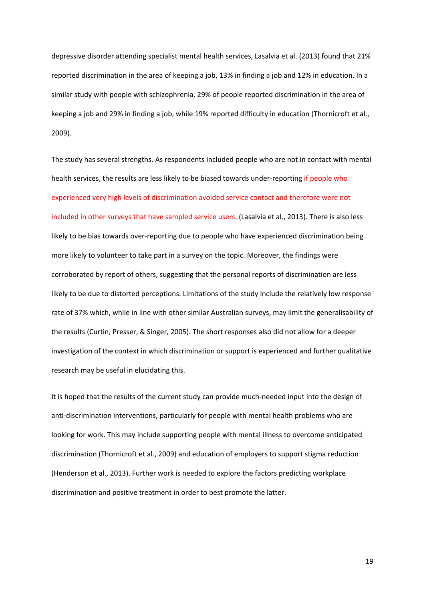depressive disorder attending specialist mental health services, Lasalvia et al. [\(2013\)](#page-21-4) found that 21% reported discrimination in the area of keeping a job, 13% in finding a job and 12% in education. In a similar study with people with schizophrenia, 29% of people reported discrimination in the area of keeping a job and 29% in finding a job, while 19% reported difficulty in education [\(Thornicroft et al.,](#page-22-2)  [2009\)](#page-22-2).

The study has several strengths. As respondents included people who are not in contact with mental health services, the results are less likely to be biased towards under-reporting if people who experienced very high levels of discrimination avoided service contact and therefore were not included in other surveys that have sampled service users. [\(Lasalvia et al., 2013\)](#page-21-4). There is also less likely to be bias towards over-reporting due to people who have experienced discrimination being more likely to volunteer to take part in a survey on the topic. Moreover, the findings were corroborated by report of others, suggesting that the personal reports of discrimination are less likely to be due to distorted perceptions. Limitations of the study include the relatively low response rate of 37% which, while in line with other similar Australian surveys, may limit the generalisability of the results [\(Curtin, Presser, & Singer, 2005\)](#page-19-9). The short responses also did not allow for a deeper investigation of the context in which discrimination or support is experienced and further qualitative research may be useful in elucidating this.

It is hoped that the results of the current study can provide much-needed input into the design of anti-discrimination interventions, particularly for people with mental health problems who are looking for work. This may include supporting people with mental illness to overcome anticipated discrimination [\(Thornicroft et al., 2009\)](#page-22-2) and education of employers to support stigma reduction [\(Henderson et al., 2013\)](#page-20-5). Further work is needed to explore the factors predicting workplace discrimination and positive treatment in order to best promote the latter.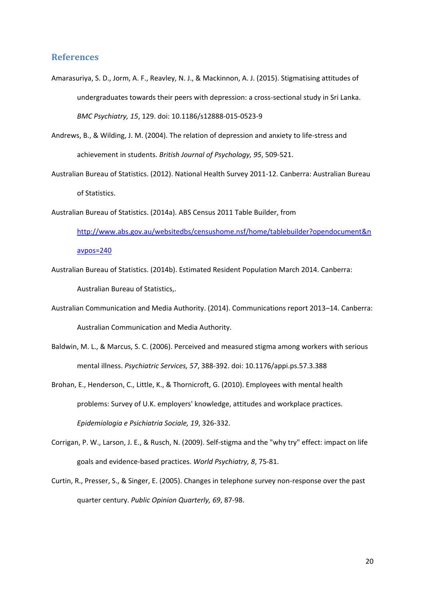#### **References**

- <span id="page-19-4"></span>Amarasuriya, S. D., Jorm, A. F., Reavley, N. J., & Mackinnon, A. J. (2015). Stigmatising attitudes of undergraduates towards their peers with depression: a cross-sectional study in Sri Lanka. *BMC Psychiatry, 15*, 129. doi: 10.1186/s12888-015-0523-9
- <span id="page-19-3"></span>Andrews, B., & Wilding, J. M. (2004). The relation of depression and anxiety to life-stress and achievement in students. *British Journal of Psychology, 95*, 509-521.
- <span id="page-19-0"></span>Australian Bureau of Statistics. (2012). National Health Survey 2011-12. Canberra: Australian Bureau of Statistics.
- <span id="page-19-6"></span>Australian Bureau of Statistics. (2014a). ABS Census 2011 Table Builder, from

[http://www.abs.gov.au/websitedbs/censushome.nsf/home/tablebuilder?opendocument&n](http://www.abs.gov.au/websitedbs/censushome.nsf/home/tablebuilder?opendocument&navpos=240) [avpos=240](http://www.abs.gov.au/websitedbs/censushome.nsf/home/tablebuilder?opendocument&navpos=240)

- <span id="page-19-5"></span>Australian Bureau of Statistics. (2014b). Estimated Resident Population March 2014. Canberra: Australian Bureau of Statistics,.
- <span id="page-19-7"></span>Australian Communication and Media Authority. (2014). Communications report 2013–14. Canberra: Australian Communication and Media Authority.
- <span id="page-19-2"></span>Baldwin, M. L., & Marcus, S. C. (2006). Perceived and measured stigma among workers with serious mental illness. *Psychiatric Services, 57*, 388-392. doi: 10.1176/appi.ps.57.3.388
- <span id="page-19-1"></span>Brohan, E., Henderson, C., Little, K., & Thornicroft, G. (2010). Employees with mental health problems: Survey of U.K. employers' knowledge, attitudes and workplace practices. *Epidemiologia e Psichiatria Sociale, 19*, 326-332.
- <span id="page-19-8"></span>Corrigan, P. W., Larson, J. E., & Rusch, N. (2009). Self-stigma and the "why try" effect: impact on life goals and evidence-based practices. *World Psychiatry, 8*, 75-81.
- <span id="page-19-9"></span>Curtin, R., Presser, S., & Singer, E. (2005). Changes in telephone survey non-response over the past quarter century. *Public Opinion Quarterly, 69*, 87-98.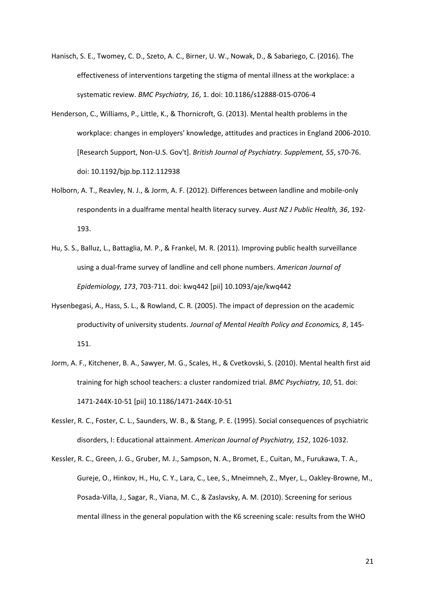- <span id="page-20-6"></span>Hanisch, S. E., Twomey, C. D., Szeto, A. C., Birner, U. W., Nowak, D., & Sabariego, C. (2016). The effectiveness of interventions targeting the stigma of mental illness at the workplace: a systematic review. *BMC Psychiatry, 16*, 1. doi: 10.1186/s12888-015-0706-4
- <span id="page-20-5"></span>Henderson, C., Williams, P., Little, K., & Thornicroft, G. (2013). Mental health problems in the workplace: changes in employers' knowledge, attitudes and practices in England 2006-2010. [Research Support, Non-U.S. Gov't]. *British Journal of Psychiatry. Supplement, 55*, s70-76. doi: 10.1192/bjp.bp.112.112938
- <span id="page-20-2"></span>Holborn, A. T., Reavley, N. J., & Jorm, A. F. (2012). Differences between landline and mobile-only respondents in a dualframe mental health literacy survey. *Aust NZ J Public Health, 36*, 192- 193.
- <span id="page-20-3"></span>Hu, S. S., Balluz, L., Battaglia, M. P., & Frankel, M. R. (2011). Improving public health surveillance using a dual-frame survey of landline and cell phone numbers. *American Journal of Epidemiology, 173*, 703-711. doi: kwq442 [pii] 10.1093/aje/kwq442
- <span id="page-20-0"></span>Hysenbegasi, A., Hass, S. L., & Rowland, C. R. (2005). The impact of depression on the academic productivity of university students. *Journal of Mental Health Policy and Economics, 8*, 145- 151.
- <span id="page-20-7"></span>Jorm, A. F., Kitchener, B. A., Sawyer, M. G., Scales, H., & Cvetkovski, S. (2010). Mental health first aid training for high school teachers: a cluster randomized trial. *BMC Psychiatry, 10*, 51. doi: 1471-244X-10-51 [pii] 10.1186/1471-244X-10-51
- <span id="page-20-1"></span>Kessler, R. C., Foster, C. L., Saunders, W. B., & Stang, P. E. (1995). Social consequences of psychiatric disorders, I: Educational attainment. *American Journal of Psychiatry, 152*, 1026-1032.
- <span id="page-20-4"></span>Kessler, R. C., Green, J. G., Gruber, M. J., Sampson, N. A., Bromet, E., Cuitan, M., Furukawa, T. A., Gureje, O., Hinkov, H., Hu, C. Y., Lara, C., Lee, S., Mneimneh, Z., Myer, L., Oakley-Browne, M., Posada-Villa, J., Sagar, R., Viana, M. C., & Zaslavsky, A. M. (2010). Screening for serious mental illness in the general population with the K6 screening scale: results from the WHO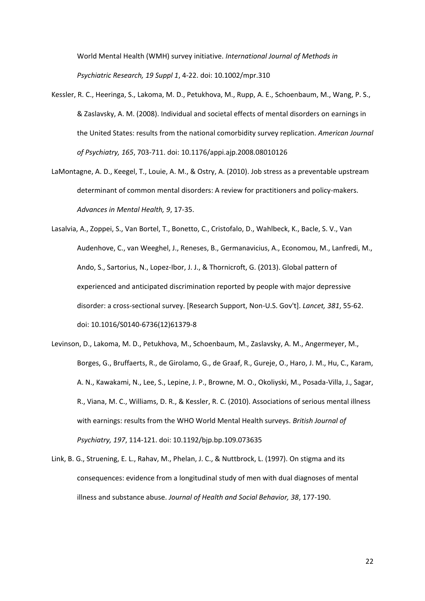World Mental Health (WMH) survey initiative. *International Journal of Methods in Psychiatric Research, 19 Suppl 1*, 4-22. doi: 10.1002/mpr.310

- <span id="page-21-1"></span>Kessler, R. C., Heeringa, S., Lakoma, M. D., Petukhova, M., Rupp, A. E., Schoenbaum, M., Wang, P. S., & Zaslavsky, A. M. (2008). Individual and societal effects of mental disorders on earnings in the United States: results from the national comorbidity survey replication. *American Journal of Psychiatry, 165*, 703-711. doi: 10.1176/appi.ajp.2008.08010126
- <span id="page-21-0"></span>LaMontagne, A. D., Keegel, T., Louie, A. M., & Ostry, A. (2010). Job stress as a preventable upstream determinant of common mental disorders: A review for practitioners and policy-makers. *Advances in Mental Health, 9*, 17-35.
- <span id="page-21-4"></span>Lasalvia, A., Zoppei, S., Van Bortel, T., Bonetto, C., Cristofalo, D., Wahlbeck, K., Bacle, S. V., Van Audenhove, C., van Weeghel, J., Reneses, B., Germanavicius, A., Economou, M., Lanfredi, M., Ando, S., Sartorius, N., Lopez-Ibor, J. J., & Thornicroft, G. (2013). Global pattern of experienced and anticipated discrimination reported by people with major depressive disorder: a cross-sectional survey. [Research Support, Non-U.S. Gov't]. *Lancet, 381*, 55-62. doi: 10.1016/S0140-6736(12)61379-8
- <span id="page-21-2"></span>Levinson, D., Lakoma, M. D., Petukhova, M., Schoenbaum, M., Zaslavsky, A. M., Angermeyer, M., Borges, G., Bruffaerts, R., de Girolamo, G., de Graaf, R., Gureje, O., Haro, J. M., Hu, C., Karam, A. N., Kawakami, N., Lee, S., Lepine, J. P., Browne, M. O., Okoliyski, M., Posada-Villa, J., Sagar, R., Viana, M. C., Williams, D. R., & Kessler, R. C. (2010). Associations of serious mental illness with earnings: results from the WHO World Mental Health surveys. *British Journal of Psychiatry, 197*, 114-121. doi: 10.1192/bjp.bp.109.073635
- <span id="page-21-3"></span>Link, B. G., Struening, E. L., Rahav, M., Phelan, J. C., & Nuttbrock, L. (1997). On stigma and its consequences: evidence from a longitudinal study of men with dual diagnoses of mental illness and substance abuse. *Journal of Health and Social Behavior, 38*, 177-190.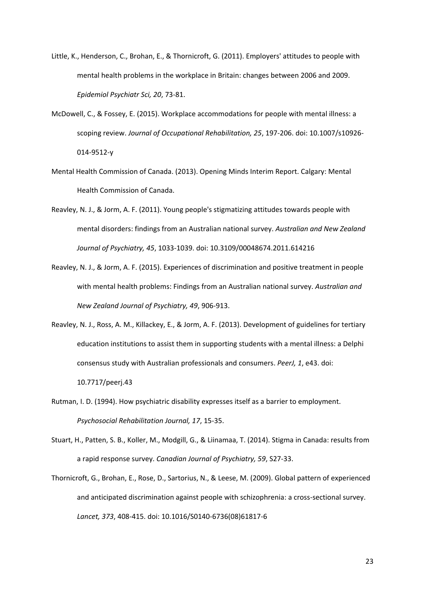- <span id="page-22-3"></span>Little, K., Henderson, C., Brohan, E., & Thornicroft, G. (2011). Employers' attitudes to people with mental health problems in the workplace in Britain: changes between 2006 and 2009. *Epidemiol Psychiatr Sci, 20*, 73-81.
- <span id="page-22-0"></span>McDowell, C., & Fossey, E. (2015). Workplace accommodations for people with mental illness: a scoping review. *Journal of Occupational Rehabilitation, 25*, 197-206. doi: 10.1007/s10926- 014-9512-y
- <span id="page-22-8"></span>Mental Health Commission of Canada. (2013). Opening Minds Interim Report. Calgary: Mental Health Commission of Canada.
- <span id="page-22-5"></span>Reavley, N. J., & Jorm, A. F. (2011). Young people's stigmatizing attitudes towards people with mental disorders: findings from an Australian national survey. *Australian and New Zealand Journal of Psychiatry, 45*, 1033-1039. doi: 10.3109/00048674.2011.614216
- <span id="page-22-7"></span>Reavley, N. J., & Jorm, A. F. (2015). Experiences of discrimination and positive treatment in people with mental health problems: Findings from an Australian national survey. *Australian and New Zealand Journal of Psychiatry, 49*, 906-913.
- <span id="page-22-6"></span>Reavley, N. J., Ross, A. M., Killackey, E., & Jorm, A. F. (2013). Development of guidelines for tertiary education institutions to assist them in supporting students with a mental illness: a Delphi consensus study with Australian professionals and consumers. *PeerJ, 1*, e43. doi: 10.7717/peerj.43
- <span id="page-22-1"></span>Rutman, I. D. (1994). How psychiatric disability expresses itself as a barrier to employment. *Psychosocial Rehabilitation Journal, 17*, 15-35.
- <span id="page-22-4"></span>Stuart, H., Patten, S. B., Koller, M., Modgill, G., & Liinamaa, T. (2014). Stigma in Canada: results from a rapid response survey. *Canadian Journal of Psychiatry, 59*, S27-33.
- <span id="page-22-2"></span>Thornicroft, G., Brohan, E., Rose, D., Sartorius, N., & Leese, M. (2009). Global pattern of experienced and anticipated discrimination against people with schizophrenia: a cross-sectional survey. *Lancet, 373*, 408-415. doi: 10.1016/S0140-6736(08)61817-6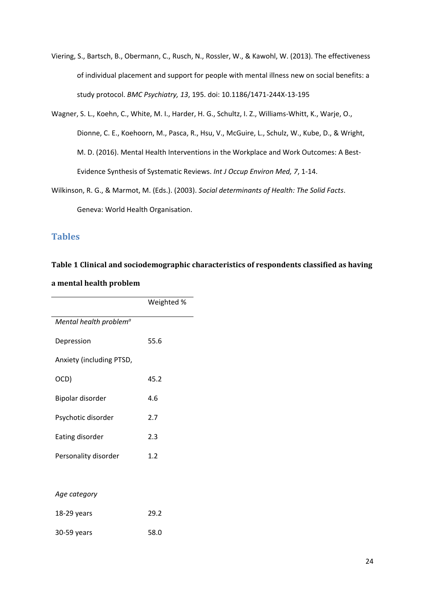- <span id="page-23-2"></span>Viering, S., Bartsch, B., Obermann, C., Rusch, N., Rossler, W., & Kawohl, W. (2013). The effectiveness of individual placement and support for people with mental illness new on social benefits: a study protocol. *BMC Psychiatry, 13*, 195. doi: 10.1186/1471-244X-13-195
- <span id="page-23-1"></span>Wagner, S. L., Koehn, C., White, M. I., Harder, H. G., Schultz, I. Z., Williams-Whitt, K., Warje, O., Dionne, C. E., Koehoorn, M., Pasca, R., Hsu, V., McGuire, L., Schulz, W., Kube, D., & Wright, M. D. (2016). Mental Health Interventions in the Workplace and Work Outcomes: A Best-Evidence Synthesis of Systematic Reviews. *Int J Occup Environ Med, 7*, 1-14.
- <span id="page-23-0"></span>Wilkinson, R. G., & Marmot, M. (Eds.). (2003). *Social determinants of Health: The Solid Facts*. Geneva: World Health Organisation.

### **Tables**

# **Table 1 Clinical and sociodemographic characteristics of respondents classified as having a mental health problem**

|                                    | Weighted % |
|------------------------------------|------------|
| Mental health problem <sup>a</sup> |            |
| Depression                         | 55.6       |
| Anxiety (including PTSD,           |            |
| OCD)                               | 45.2       |
| Bipolar disorder                   | 4.6        |
| Psychotic disorder                 | 2.7        |
| Eating disorder                    | 2.3        |
| Personality disorder               | 1.2        |
|                                    |            |
| Age category                       |            |
| 18-29 years                        | 29.2       |
| 30-59 years                        | 58.0       |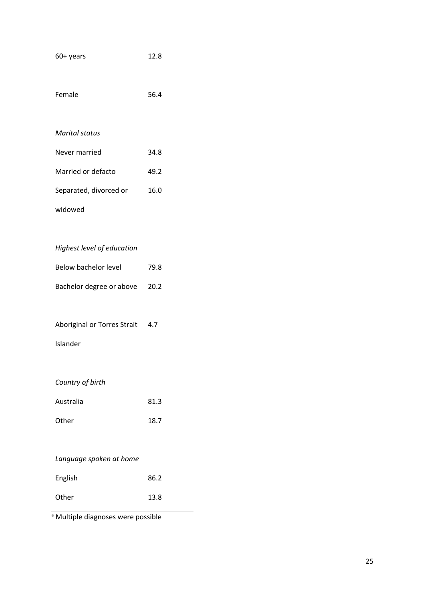| 60+ years                       | 12.8 |
|---------------------------------|------|
| Female                          | 56.4 |
| <b>Marital status</b>           |      |
| Never married                   | 34.8 |
| Married or defacto              | 49.2 |
| Separated, divorced or          | 16.0 |
| widowed                         |      |
|                                 |      |
| Highest level of education      |      |
| <b>Below bachelor level</b>     | 79.8 |
| Bachelor degree or above        | 20.2 |
|                                 |      |
| Aboriginal or Torres Strait 4.7 |      |
| Islander                        |      |
|                                 |      |
| Country of birth                |      |
| Australia                       | 81.3 |
| Other                           | 18.7 |
|                                 |      |
| Language spoken at home         |      |
| English                         | 86.2 |
| Other                           | 13.8 |

a Multiple diagnoses were possible